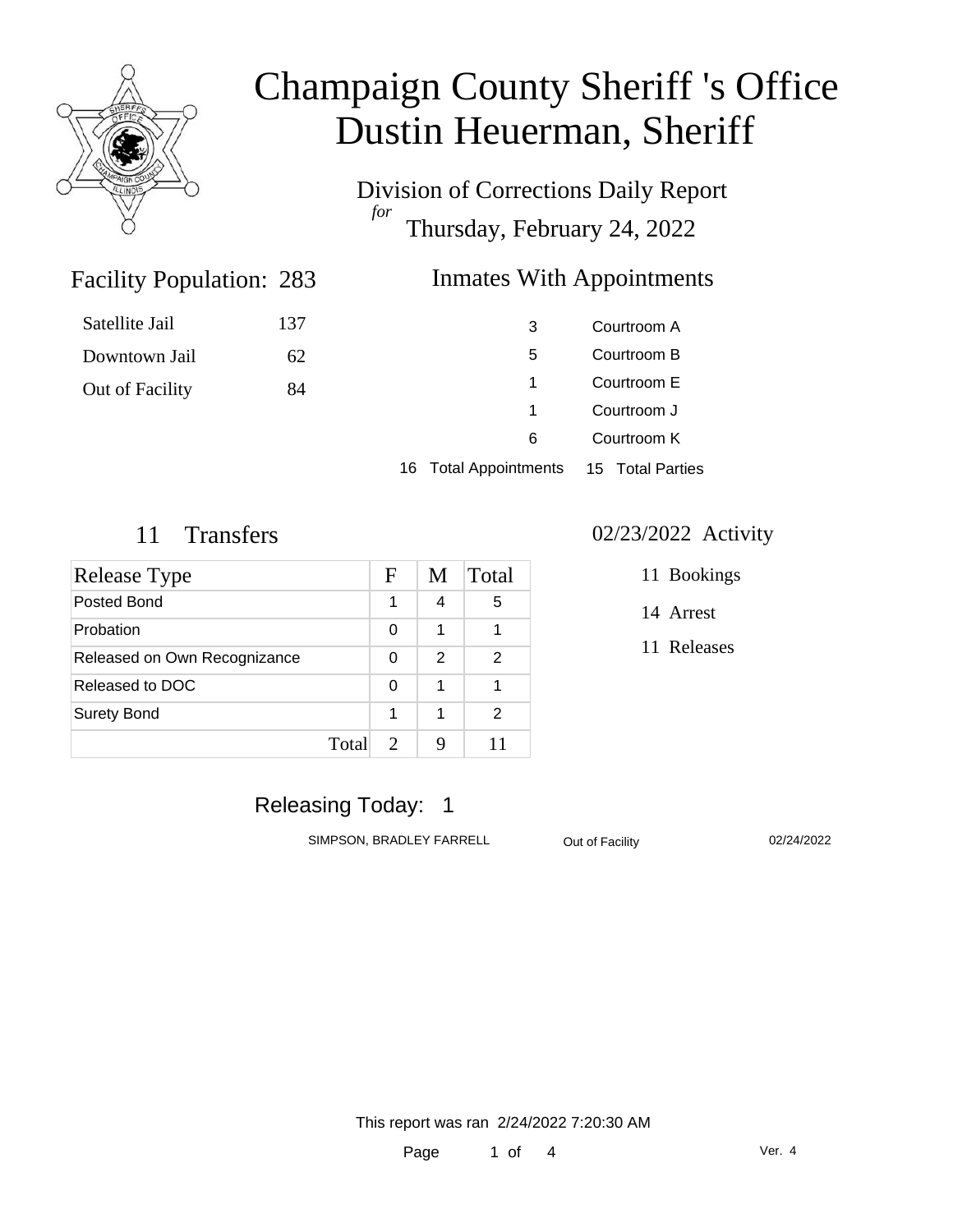

Satellite Jail

Downtown Jail

Out of Facility

# Champaign County Sheriff 's Office Dustin Heuerman, Sheriff

Division of Corrections Daily Report *for* Thursday, February 24, 2022

### Inmates With Appointments

| 137 | 3 | Courtroom A |
|-----|---|-------------|
| 62  | 5 | Courtroom B |
| 84  | 1 | Courtroom E |
|     | 1 | Courtroom J |
|     | 6 | Courtroom K |
|     |   |             |

16 Total Appointments 15 Total Parties

Facility Population: 283

| Release Type                 |       | F                     | M | Total |
|------------------------------|-------|-----------------------|---|-------|
| Posted Bond                  |       | 1                     | 4 | 5     |
| Probation                    |       | 0                     | 1 |       |
| Released on Own Recognizance |       | 0                     | 2 | 2     |
| Released to DOC              |       | 0                     | 1 |       |
| <b>Surety Bond</b>           |       | 1                     | 1 | 2     |
|                              | Total | $\mathcal{D}_{\cdot}$ | q | 11    |

#### 11 Transfers 02/23/2022 Activity

- 11 Bookings
- 14 Arrest
- 11 Releases

### Releasing Today: 1

SIMPSON, BRADLEY FARRELL Out of Facility 02/24/2022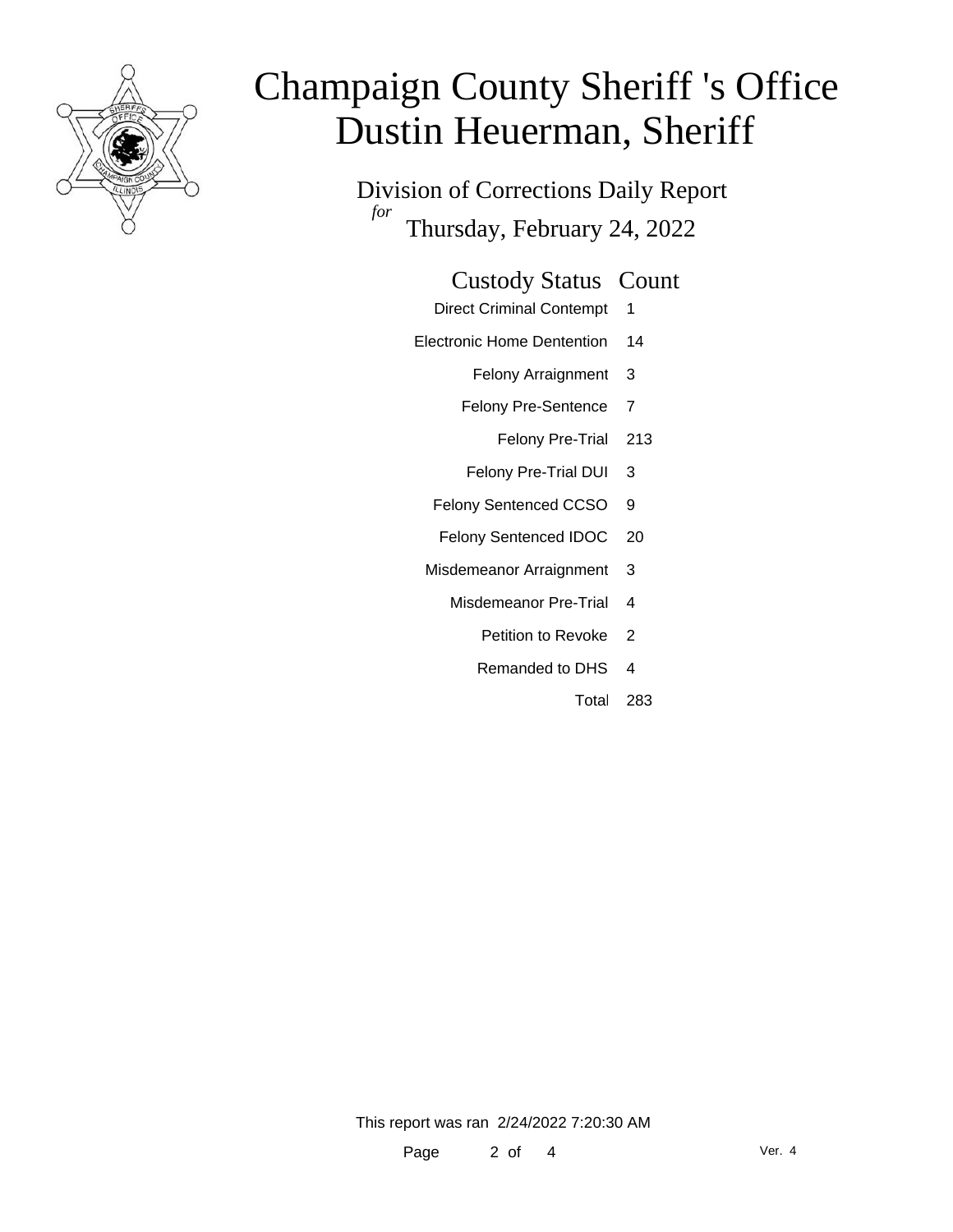

# Champaign County Sheriff 's Office Dustin Heuerman, Sheriff

Division of Corrections Daily Report *for* Thursday, February 24, 2022

### Custody Status Count

- Direct Criminal Contempt 1
- Electronic Home Dentention 14
	- Felony Arraignment 3
	- Felony Pre-Sentence 7
		- Felony Pre-Trial 213
	- Felony Pre-Trial DUI 3
	- Felony Sentenced CCSO 9
	- Felony Sentenced IDOC 20
	- Misdemeanor Arraignment 3
		- Misdemeanor Pre-Trial 4
			- Petition to Revoke 2
			- Remanded to DHS 4
				- Total 283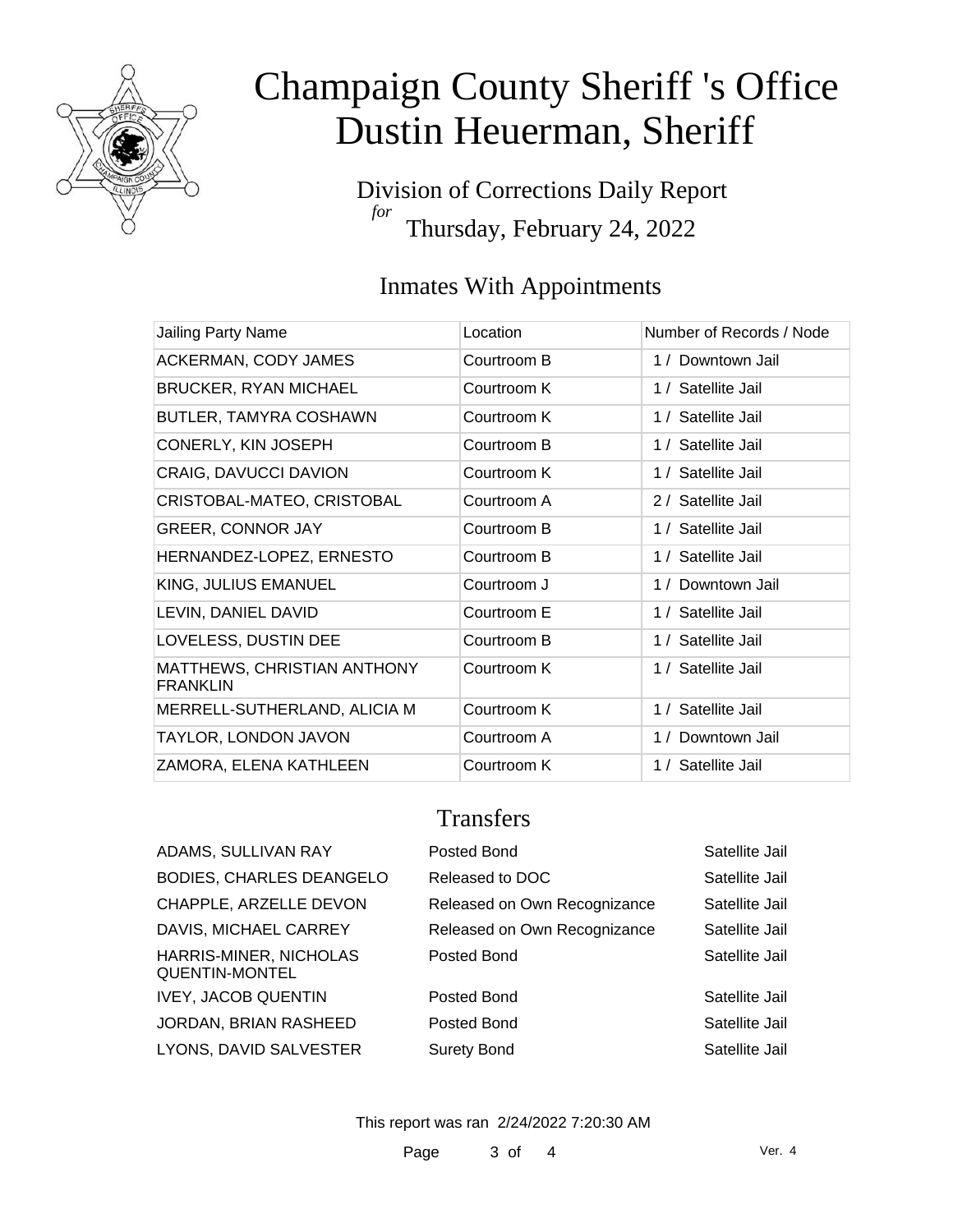

# Champaign County Sheriff 's Office Dustin Heuerman, Sheriff

Division of Corrections Daily Report *for* Thursday, February 24, 2022

### Inmates With Appointments

| Jailing Party Name                             | Location    | Number of Records / Node |
|------------------------------------------------|-------------|--------------------------|
| ACKERMAN, CODY JAMES                           | Courtroom B | 1 / Downtown Jail        |
| <b>BRUCKER, RYAN MICHAEL</b>                   | Courtroom K | 1 / Satellite Jail       |
| <b>BUTLER, TAMYRA COSHAWN</b>                  | Courtroom K | 1 / Satellite Jail       |
| CONERLY, KIN JOSEPH                            | Courtroom B | 1 / Satellite Jail       |
| CRAIG, DAVUCCI DAVION                          | Courtroom K | 1 / Satellite Jail       |
| CRISTOBAL-MATEO, CRISTOBAL                     | Courtroom A | 2 / Satellite Jail       |
| <b>GREER, CONNOR JAY</b>                       | Courtroom B | 1 / Satellite Jail       |
| HERNANDEZ-LOPEZ, ERNESTO                       | Courtroom B | 1 / Satellite Jail       |
| KING, JULIUS EMANUEL                           | Courtroom J | 1 / Downtown Jail        |
| LEVIN, DANIEL DAVID                            | Courtroom E | 1 / Satellite Jail       |
| LOVELESS, DUSTIN DEE                           | Courtroom B | 1 / Satellite Jail       |
| MATTHEWS, CHRISTIAN ANTHONY<br><b>FRANKLIN</b> | Courtroom K | 1 / Satellite Jail       |
| MERRELL-SUTHERLAND, ALICIA M                   | Courtroom K | 1 / Satellite Jail       |
| TAYLOR, LONDON JAVON                           | Courtroom A | 1 / Downtown Jail        |
| ZAMORA, ELENA KATHLEEN                         | Courtroom K | 1 / Satellite Jail       |

### **Transfers**

| ADAMS, SULLIVAN RAY                      | Posted Bond                  | Satellite Jail |
|------------------------------------------|------------------------------|----------------|
| <b>BODIES, CHARLES DEANGELO</b>          | Released to DOC              | Satellite Jail |
| CHAPPLE, ARZELLE DEVON                   | Released on Own Recognizance | Satellite Jail |
| DAVIS, MICHAEL CARREY                    | Released on Own Recognizance | Satellite Jail |
| HARRIS-MINER, NICHOLAS<br>QUENTIN-MONTEL | Posted Bond                  | Satellite Jail |
| <b>IVEY, JACOB QUENTIN</b>               | Posted Bond                  | Satellite Jail |
| JORDAN, BRIAN RASHEED                    | Posted Bond                  | Satellite Jail |
| LYONS, DAVID SALVESTER                   | <b>Surety Bond</b>           | Satellite Jail |
|                                          |                              |                |